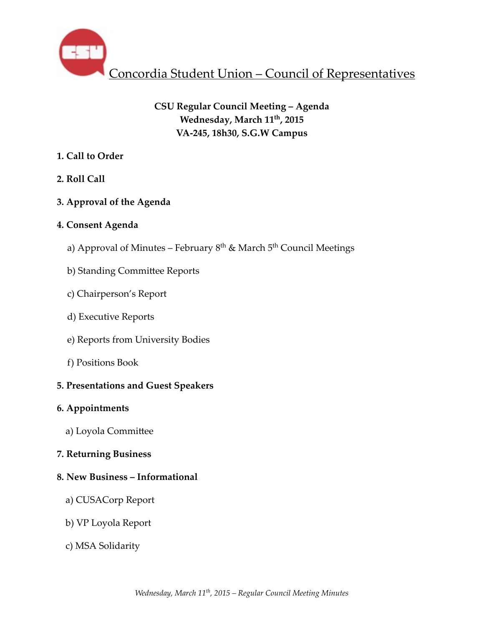

# **CSU Regular Council Meeting – Agenda Wednesday, March 11th, 2015 VA-245, 18h30, S.G.W Campus**

## **1. Call to Order**

- **2. Roll Call**
- **3. Approval of the Agenda**

## **4. Consent Agenda**

- a) Approval of Minutes February  $8<sup>th</sup>$  & March  $5<sup>th</sup>$  Council Meetings
- b) Standing Committee Reports
- c) Chairperson's Report
- d) Executive Reports
- e) Reports from University Bodies
- f) Positions Book

# **5. Presentations and Guest Speakers**

## **6. Appointments**

a) Loyola Committee

## **7. Returning Business**

## **8. New Business – Informational**

- a) CUSACorp Report
- b) VP Loyola Report
- c) MSA Solidarity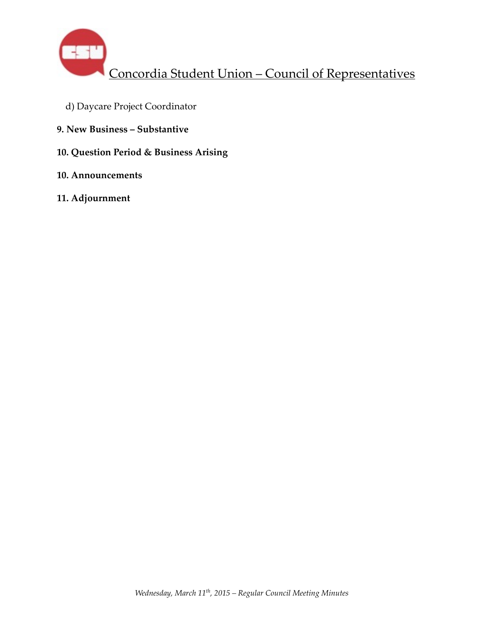

- d) Daycare Project Coordinator
- **9. New Business Substantive**
- **10. Question Period & Business Arising**
- **10. Announcements**
- **11. Adjournment**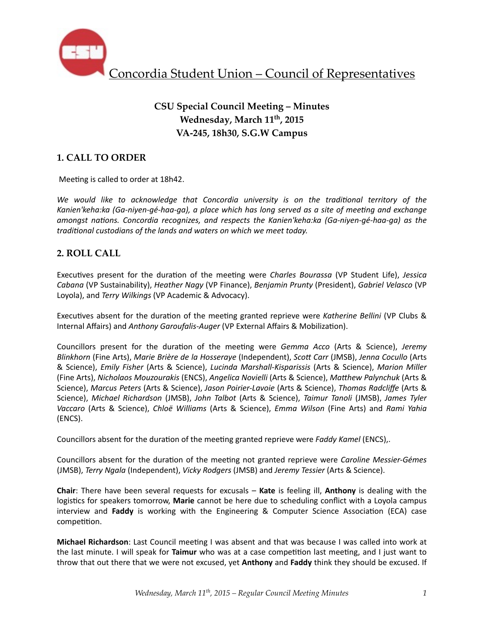

## **CSU Special Council Meeting – Minutes** Wednesday, March 11<sup>th</sup>, 2015 **VA-245, 18h30, S.G.W Campus**

## **1. CALL TO ORDER**

Meeting is called to order at 18h42.

We would like to acknowledge that Concordia university is on the traditional territory of the Kanien'keha:ka (Ga-niyen-gé-haa-ga), a place which has long served as a site of meeting and exchange *amongst nations. Concordia recognizes, and respects the Kanien'keha:ka (Ga-niyen-gé-haa-ga)* as the *traditional custodians of the lands and waters on which we meet today.* 

### **2. ROLL CALL**

Executives present for the duration of the meeting were *Charles Bourassa* (VP Student Life), *Jessica Cabana* (VP Sustainability), *Heather Nagy* (VP Finance), *Benjamin Prunty* (President), *Gabriel Velasco* (VP Loyola), and *Terry Wilkings* (VP Academic & Advocacy).

Executives absent for the duration of the meeting granted reprieve were Katherine Bellini (VP Clubs & Internal Affairs) and *Anthony Garoufalis-Auger* (VP External Affairs & Mobilization).

Councillors present for the duration of the meeting were *Gemma Acco* (Arts & Science), Jeremy *Blinkhorn* (Fine Arts), *Marie Brière de la Hosseraye* (Independent), *Scott Carr* (JMSB), Jenna Cocullo (Arts & Science), *Emily Fisher* (Arts & Science), *Lucinda Marshall-Kisparissis* (Arts & Science), *Marion Miller*  (Fine Arts), Nicholaos Mouzourakis (ENCS), Angelica Novielli (Arts & Science), Matthew Palynchuk (Arts & Science), *Marcus Peters* (Arts & Science), *Jason Poirier-Lavoie* (Arts & Science), Thomas Radcliffe (Arts & Science), *Michael Richardson* (JMSB), John Talbot (Arts & Science), Taimur Tanoli (JMSB), James Tyler *Vaccaro* (Arts & Science), *Chloë Williams* (Arts & Science), *Emma Wilson* (Fine Arts) and *Rami Yahia* (ENCS). 

Councillors absent for the duration of the meeting granted reprieve were *Faddy Kamel* (ENCS),.

Councillors absent for the duration of the meeting not granted reprieve were *Caroline Messier-Gémes* (JMSB), *Terry Ngala* (Independent), *Vicky Rodgers* (JMSB) and *Jeremy Tessier* (Arts & Science). 

**Chair:** There have been several requests for excusals – **Kate** is feeling ill, **Anthony** is dealing with the logistics for speakers tomorrow, **Marie** cannot be here due to scheduling conflict with a Loyola campus interview and Faddy is working with the Engineering & Computer Science Association (ECA) case competition.

**Michael Richardson**: Last Council meeting I was absent and that was because I was called into work at the last minute. I will speak for **Taimur** who was at a case competition last meeting, and I just want to throw that out there that we were not excused, yet **Anthony** and **Faddy** think they should be excused. If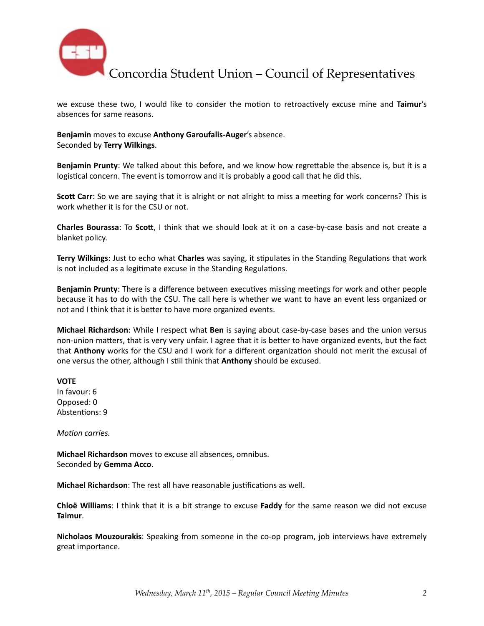

we excuse these two, I would like to consider the motion to retroactively excuse mine and Taimur's absences for same reasons.

#### Benjamin moves to excuse Anthony Garoufalis-Auger's absence. Seconded by **Terry Wilkings**.

**Benjamin Prunty**: We talked about this before, and we know how regrettable the absence is, but it is a logistical concern. The event is tomorrow and it is probably a good call that he did this.

**Scott Carr**: So we are saying that it is alright or not alright to miss a meeting for work concerns? This is work whether it is for the CSU or not.

**Charles Bourassa:** To Scott, I think that we should look at it on a case-by-case basis and not create a blanket policy.

**Terry Wilkings:** Just to echo what **Charles** was saying, it stipulates in the Standing Regulations that work is not included as a legitimate excuse in the Standing Regulations.

**Benjamin Prunty**: There is a difference between executives missing meetings for work and other people because it has to do with the CSU. The call here is whether we want to have an event less organized or not and I think that it is better to have more organized events.

**Michael Richardson**: While I respect what Ben is saying about case-by-case bases and the union versus non-union matters, that is very very unfair. I agree that it is better to have organized events, but the fact that **Anthony** works for the CSU and I work for a different organization should not merit the excusal of one versus the other, although I still think that **Anthony** should be excused.

#### **VOTE**

In favour: 6 Opposed: 0 Abstentions: 9

*Motion carries.* 

**Michael Richardson** moves to excuse all absences, omnibus. Seconded by Gemma Acco.

**Michael Richardson**: The rest all have reasonable justifications as well.

**Chloë** Williams: I think that it is a bit strange to excuse Faddy for the same reason we did not excuse **Taimur**. 

**Nicholaos Mouzourakis**: Speaking from someone in the co-op program, job interviews have extremely great importance.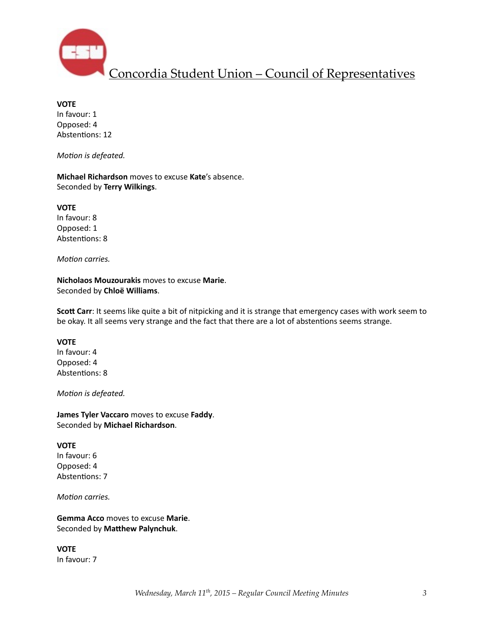

**VOTE** In favour: 1 Opposed: 4 Abstentions: 12

*Motion* is defeated.

**Michael Richardson** moves to excuse Kate's absence. Seconded by **Terry Wilkings**. 

**VOTE** In favour: 8 Opposed: 1 Abstentions: 8

*Motion carries.* 

**Nicholaos Mouzourakis** moves to excuse Marie. Seconded by **Chloë Williams**. 

**Scott Carr**: It seems like quite a bit of nitpicking and it is strange that emergency cases with work seem to be okay. It all seems very strange and the fact that there are a lot of abstentions seems strange.

#### **VOTE**

In favour: 4 Opposed: 4 Abstentions: 8

*Motion* is defeated.

**James Tyler Vaccaro** moves to excuse Faddy. Seconded by **Michael Richardson**. 

#### **VOTE**

In favour: 6 Opposed: 4 Abstentions: 7

*Motion carries.* 

**Gemma Acco** moves to excuse Marie. Seconded by Matthew Palynchuk.

**VOTE**  In favour: 7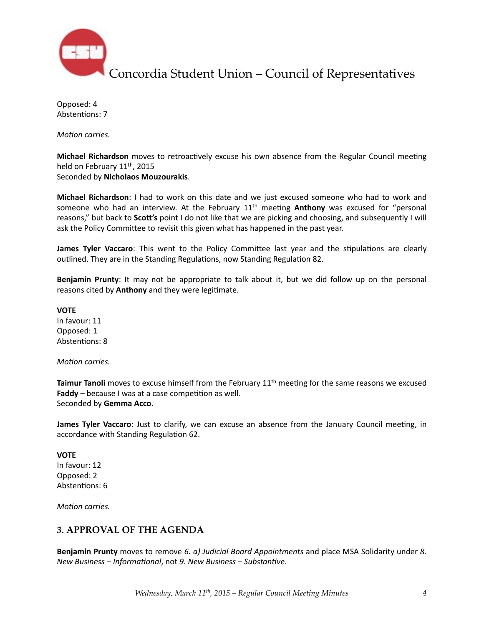

Opposed: 4 Abstentions: 7

*Motion carries.* 

**Michael Richardson** moves to retroactively excuse his own absence from the Regular Council meeting held on February 11<sup>th</sup>, 2015

Seconded by **Nicholaos Mouzourakis**. 

**Michael Richardson**: I had to work on this date and we just excused someone who had to work and someone who had an interview. At the February 11<sup>th</sup> meeting **Anthony** was excused for "personal reasons," but back to **Scott's** point I do not like that we are picking and choosing, and subsequently I will ask the Policy Committee to revisit this given what has happened in the past year.

**James Tyler Vaccaro**: This went to the Policy Committee last year and the stipulations are clearly outlined. They are in the Standing Regulations, now Standing Regulation 82.

**Benjamin Prunty**: It may not be appropriate to talk about it, but we did follow up on the personal reasons cited by **Anthony** and they were legitimate.

**VOTE** In favour: 11 Opposed: 1

*Motion carries.* 

Abstentions: 8

**Taimur Tanoli** moves to excuse himself from the February 11<sup>th</sup> meeting for the same reasons we excused **Faddy** – because I was at a case competition as well. Seconded by Gemma Acco.

**James Tyler Vaccaro**: Just to clarify, we can excuse an absence from the January Council meeting, in accordance with Standing Regulation 62.

#### **VOTE**

In favour: 12 Opposed: 2 Abstentions: 6

*Motion carries.* 

### **3. APPROVAL OF THE AGENDA**

**Benjamin Prunty** moves to remove 6. a) Judicial Board Appointments and place MSA Solidarity under 8. *New Business* – *Informational*, not 9. New Business – Substantive.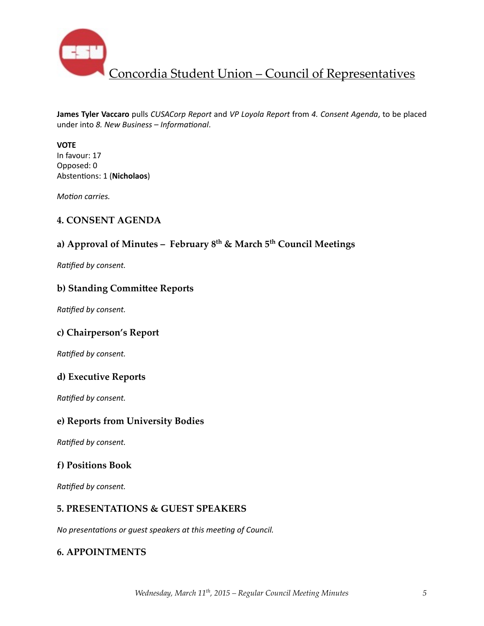

**James Tyler Vaccaro** pulls *CUSACorp Report* and *VP Loyola Report* from 4. Consent Agenda, to be placed under into *8. New Business* – Informational.

#### **VOTE**

In favour: 17 Opposed: 0 Abstentions: 1 (Nicholaos)

*Motion carries.* 

### **4. CONSENT AGENDA**

# **a) Approval of Minutes – February 8th & March 5th Council Meetings**

**Ratified by consent.** 

#### **b) Standing Committee Reports**

**Ratified by consent.** 

### **c) Chairperson's Report**

**Ratified by consent.** 

#### **d) Executive Reports**

**Ratified by consent.** 

#### **e) Reports from University Bodies**

**Ratified by consent.** 

### **f) Positions Book**

**Ratified by consent.** 

### **5. PRESENTATIONS & GUEST SPEAKERS**

*No presentations or guest speakers at this meeting of Council.* 

### **6. APPOINTMENTS**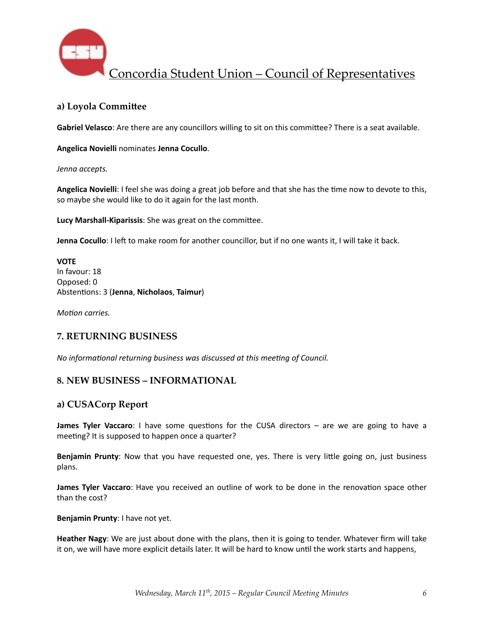

### **a) Loyola Commi\_ee**

**Gabriel Velasco**: Are there are any councillors willing to sit on this committee? There is a seat available.

#### **Angelica Novielli** nominates **Jenna Cocullo**.

*Jenna accepts.* 

Angelica Novielli: I feel she was doing a great job before and that she has the time now to devote to this, so maybe she would like to do it again for the last month.

**Lucy Marshall-Kiparissis:** She was great on the committee.

**Jenna Cocullo**: I left to make room for another councillor, but if no one wants it, I will take it back.

#### **VOTE** In favour: 18 Opposed: 0 Absten%ons: 3 (**Jenna**, **Nicholaos**, **Taimur**)

*Motion carries.* 

### **7. RETURNING BUSINESS**

*No* informational returning business was discussed at this meeting of Council.

### **8. NEW BUSINESS – INFORMATIONAL**

### **a) CUSACorp Report**

**James Tyler Vaccaro**: I have some questions for the CUSA directors – are we are going to have a meeting? It is supposed to happen once a quarter?

**Benjamin Prunty**: Now that you have requested one, yes. There is very little going on, just business plans. 

**James Tyler Vaccaro**: Have you received an outline of work to be done in the renovation space other than the cost?

**Benjamin Prunty:** I have not yet.

Heather Nagy: We are just about done with the plans, then it is going to tender. Whatever firm will take it on, we will have more explicit details later. It will be hard to know until the work starts and happens,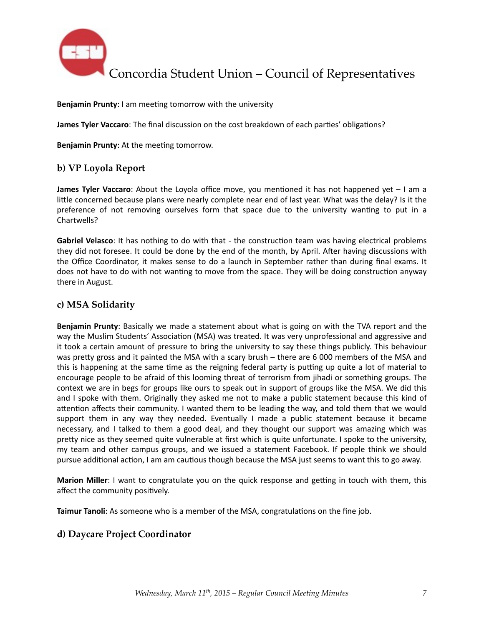

**Benjamin Prunty:** I am meeting tomorrow with the university

**James Tyler Vaccaro**: The final discussion on the cost breakdown of each parties' obligations?

**Benjamin Prunty:** At the meeting tomorrow.

#### **b) VP Loyola Report**

**James Tyler Vaccaro**: About the Loyola office move, you mentioned it has not happened yet – I am a little concerned because plans were nearly complete near end of last year. What was the delay? Is it the preference of not removing ourselves form that space due to the university wanting to put in a Chartwells? 

**Gabriel Velasco**: It has nothing to do with that - the construction team was having electrical problems they did not foresee. It could be done by the end of the month, by April. After having discussions with the Office Coordinator, it makes sense to do a launch in September rather than during final exams. It does not have to do with not wanting to move from the space. They will be doing construction anyway there in August.

### **c) MSA Solidarity**

**Benjamin Prunty**: Basically we made a statement about what is going on with the TVA report and the way the Muslim Students' Association (MSA) was treated. It was very unprofessional and aggressive and it took a certain amount of pressure to bring the university to say these things publicly. This behaviour was pretty gross and it painted the MSA with a scary brush – there are 6 000 members of the MSA and this is happening at the same time as the reigning federal party is putting up quite a lot of material to encourage people to be afraid of this looming threat of terrorism from jihadi or something groups. The context we are in begs for groups like ours to speak out in support of groups like the MSA. We did this and I spoke with them. Originally they asked me not to make a public statement because this kind of attention affects their community. I wanted them to be leading the way, and told them that we would support them in any way they needed. Eventually I made a public statement because it became necessary, and I talked to them a good deal, and they thought our support was amazing which was pretty nice as they seemed quite vulnerable at first which is quite unfortunate. I spoke to the university, my team and other campus groups, and we issued a statement Facebook. If people think we should pursue additional action, I am am cautious though because the MSA just seems to want this to go away.

**Marion Miller**: I want to congratulate you on the quick response and getting in touch with them, this affect the community positively.

Taimur Tanoli: As someone who is a member of the MSA, congratulations on the fine job.

#### **d) Daycare Project Coordinator**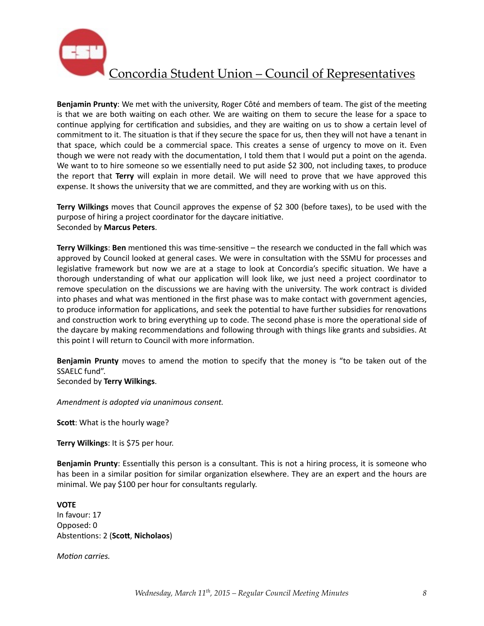

**Benjamin Prunty**: We met with the university, Roger Côté and members of team. The gist of the meeting is that we are both waiting on each other. We are waiting on them to secure the lease for a space to continue applying for certification and subsidies, and they are waiting on us to show a certain level of commitment to it. The situation is that if they secure the space for us, then they will not have a tenant in that space, which could be a commercial space. This creates a sense of urgency to move on it. Even though we were not ready with the documentation, I told them that I would put a point on the agenda. We want to to hire someone so we essentially need to put aside \$2 300, not including taxes, to produce the report that **Terry** will explain in more detail. We will need to prove that we have approved this expense. It shows the university that we are committed, and they are working with us on this.

**Terry Wilkings** moves that Council approves the expense of \$2 300 (before taxes), to be used with the purpose of hiring a project coordinator for the daycare initiative. Seconded by **Marcus Peters**. 

**Terry Wilkings: Ben** mentioned this was time-sensitive – the research we conducted in the fall which was approved by Council looked at general cases. We were in consultation with the SSMU for processes and legislative framework but now we are at a stage to look at Concordia's specific situation. We have a thorough understanding of what our application will look like, we just need a project coordinator to remove speculation on the discussions we are having with the university. The work contract is divided into phases and what was mentioned in the first phase was to make contact with government agencies, to produce information for applications, and seek the potential to have further subsidies for renovations and construction work to bring everything up to code. The second phase is more the operational side of the daycare by making recommendations and following through with things like grants and subsidies. At this point I will return to Council with more information.

**Benjamin Prunty** moves to amend the motion to specify that the money is "to be taken out of the SSAELC fund".

Seconded by **Terry Wilkings**. 

*Amendment is adopted via unanimous consent.* 

**Scott:** What is the hourly wage?

**Terry Wilkings: It is \$75 per hour.** 

**Benjamin Prunty**: Essentially this person is a consultant. This is not a hiring process, it is someone who has been in a similar position for similar organization elsewhere. They are an expert and the hours are minimal. We pay \$100 per hour for consultants regularly.

#### **VOTE**

In favour: 17 Opposed: 0 Abstentions: 2 (Scott, Nicholaos)

*Motion carries.*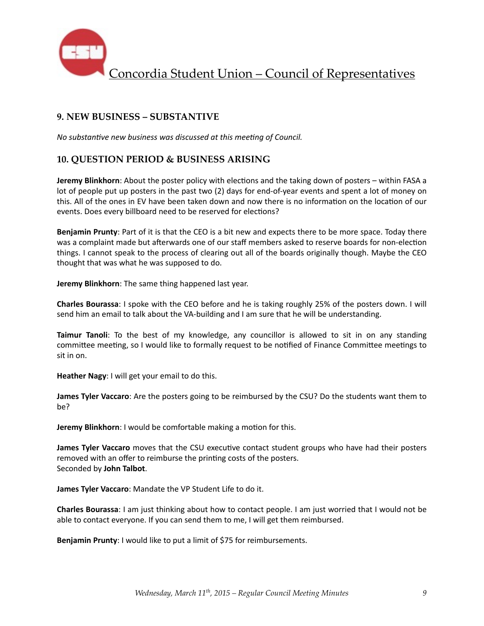

### **9. NEW BUSINESS – SUBSTANTIVE**

*No substantive new business was discussed at this meeting of Council.* 

### **10. QUESTION PERIOD & BUSINESS ARISING**

**Jeremy Blinkhorn**: About the poster policy with elections and the taking down of posters – within FASA a lot of people put up posters in the past two (2) days for end-of-year events and spent a lot of money on this. All of the ones in EV have been taken down and now there is no information on the location of our events. Does every billboard need to be reserved for elections?

**Benjamin Prunty**: Part of it is that the CEO is a bit new and expects there to be more space. Today there was a complaint made but afterwards one of our staff members asked to reserve boards for non-election things. I cannot speak to the process of clearing out all of the boards originally though. Maybe the CEO thought that was what he was supposed to do.

**Jeremy Blinkhorn**: The same thing happened last year.

**Charles Bourassa**: I spoke with the CEO before and he is taking roughly 25% of the posters down. I will send him an email to talk about the VA-building and I am sure that he will be understanding.

**Taimur Tanoli**: To the best of my knowledge, any councillor is allowed to sit in on any standing committee meeting, so I would like to formally request to be notified of Finance Committee meetings to sit in on.

**Heather Nagy**: I will get your email to do this.

**James Tyler Vaccaro**: Are the posters going to be reimbursed by the CSU? Do the students want them to be? 

**Jeremy Blinkhorn**: I would be comfortable making a motion for this.

**James Tyler Vaccaro** moves that the CSU executive contact student groups who have had their posters removed with an offer to reimburse the printing costs of the posters. Seconded by **John Talbot**. 

**James Tyler Vaccaro**: Mandate the VP Student Life to do it.

**Charles Bourassa**: I am just thinking about how to contact people. I am just worried that I would not be able to contact everyone. If you can send them to me, I will get them reimbursed.

**Benjamin Prunty:** I would like to put a limit of \$75 for reimbursements.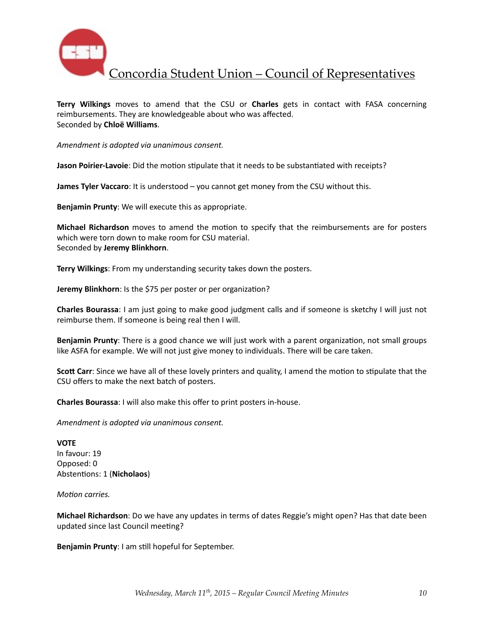

Terry Wilkings moves to amend that the CSU or Charles gets in contact with FASA concerning reimbursements. They are knowledgeable about who was affected. Seconded by **Chloë Williams**. 

*Amendment is adopted via unanimous consent.* 

**Jason Poirier-Lavoie**: Did the motion stipulate that it needs to be substantiated with receipts?

**James Tyler Vaccaro**: It is understood – you cannot get money from the CSU without this.

**Benjamin Prunty:** We will execute this as appropriate.

**Michael Richardson** moves to amend the motion to specify that the reimbursements are for posters which were torn down to make room for CSU material. Seconded by **Jeremy Blinkhorn**. 

**Terry Wilkings**: From my understanding security takes down the posters.

**Jeremy Blinkhorn**: Is the \$75 per poster or per organization?

**Charles Bourassa**: I am just going to make good judgment calls and if someone is sketchy I will just not reimburse them. If someone is being real then I will.

**Benjamin Prunty**: There is a good chance we will just work with a parent organization, not small groups like ASFA for example. We will not just give money to individuals. There will be care taken.

**Scott Carr**: Since we have all of these lovely printers and quality, I amend the motion to stipulate that the CSU offers to make the next batch of posters.

**Charles Bourassa**: I will also make this offer to print posters in-house.

*Amendment is adopted via unanimous consent.* 

**VOTE** In favour: 19 Opposed: 0 Abstentions: 1 (Nicholaos)

*Motion carries.* 

**Michael Richardson**: Do we have any updates in terms of dates Reggie's might open? Has that date been updated since last Council meeting?

**Benjamin Prunty**: I am still hopeful for September.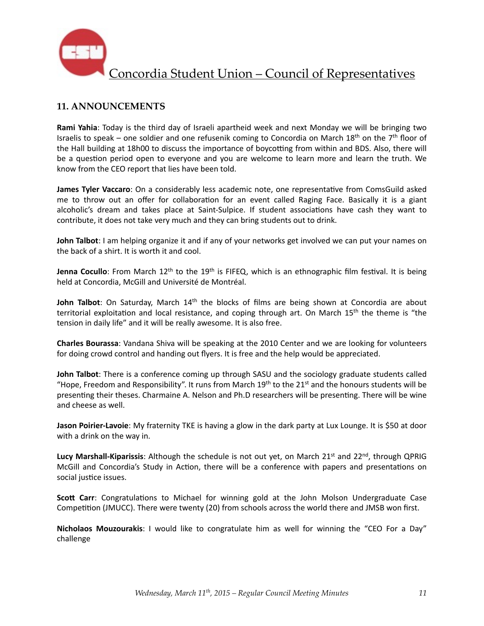

## **11. ANNOUNCEMENTS**

**Rami Yahia**: Today is the third day of Israeli apartheid week and next Monday we will be bringing two Israelis to speak – one soldier and one refusenik coming to Concordia on March 18<sup>th</sup> on the 7<sup>th</sup> floor of the Hall building at 18h00 to discuss the importance of boycotting from within and BDS. Also, there will be a question period open to everyone and you are welcome to learn more and learn the truth. We know from the CEO report that lies have been told.

**James Tyler Vaccaro**: On a considerably less academic note, one representative from ComsGuild asked me to throw out an offer for collaboration for an event called Raging Face. Basically it is a giant alcoholic's dream and takes place at Saint-Sulpice. If student associations have cash they want to contribute, it does not take very much and they can bring students out to drink.

**John Talbot**: I am helping organize it and if any of your networks get involved we can put your names on the back of a shirt. It is worth it and cool.

**Jenna Cocullo**: From March 12<sup>th</sup> to the 19<sup>th</sup> is FIFEQ, which is an ethnographic film festival. It is being held at Concordia, McGill and Université de Montréal.

**John Talbot**: On Saturday, March 14<sup>th</sup> the blocks of films are being shown at Concordia are about territorial exploitation and local resistance, and coping through art. On March  $15<sup>th</sup>$  the theme is "the tension in daily life" and it will be really awesome. It is also free.

**Charles Bourassa**: Vandana Shiva will be speaking at the 2010 Center and we are looking for volunteers for doing crowd control and handing out flyers. It is free and the help would be appreciated.

**John Talbot**: There is a conference coming up through SASU and the sociology graduate students called "Hope, Freedom and Responsibility". It runs from March 19<sup>th</sup> to the 21<sup>st</sup> and the honours students will be presenting their theses. Charmaine A. Nelson and Ph.D researchers will be presenting. There will be wine and cheese as well.

**Jason Poirier-Lavoie**: My fraternity TKE is having a glow in the dark party at Lux Lounge. It is \$50 at door with a drink on the way in.

Lucy Marshall-Kiparissis: Although the schedule is not out yet, on March 21<sup>st</sup> and 22<sup>nd</sup>, through QPRIG McGill and Concordia's Study in Action, there will be a conference with papers and presentations on social justice issues.

**Scott Carr**: Congratulations to Michael for winning gold at the John Molson Undergraduate Case Competition (JMUCC). There were twenty (20) from schools across the world there and JMSB won first.

**Nicholaos Mouzourakis**: I would like to congratulate him as well for winning the "CEO For a Day" challenge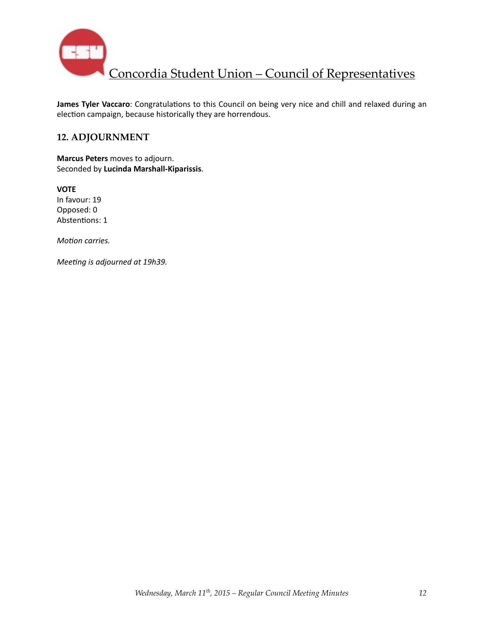

James Tyler Vaccaro: Congratulations to this Council on being very nice and chill and relaxed during an election campaign, because historically they are horrendous.

## **12. ADJOURNMENT**

**Marcus Peters** moves to adjourn. Seconded by **Lucinda Marshall-Kiparissis**. 

**VOTE** In favour: 19 Opposed: 0 Abstentions: 1

*Motion carries.* 

*Meeting is adjourned at 19h39.*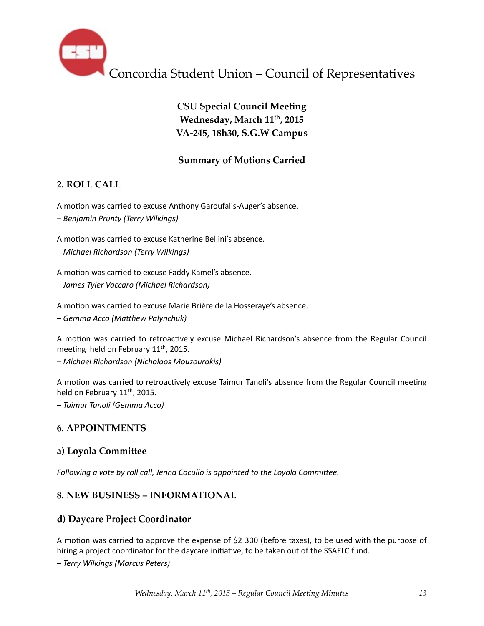

# **CSU Special Council Meeting** Wednesday, March 11<sup>th</sup>, 2015 **VA-245, 18h30, S.G.W Campus**

## **Summary of Motions Carried**

## **2. ROLL CALL**

A motion was carried to excuse Anthony Garoufalis-Auger's absence.

*– Benjamin Prunty (Terry Wilkings)*

A motion was carried to excuse Katherine Bellini's absence.

*– Michael Richardson (Terry Wilkings)*

A motion was carried to excuse Faddy Kamel's absence.

*– James Tyler Vaccaro (Michael Richardson)*

A motion was carried to excuse Marie Brière de la Hosseraye's absence.

 $-$  Gemma Acco (Matthew Palynchuk)

A motion was carried to retroactively excuse Michael Richardson's absence from the Regular Council meeting held on February  $11<sup>th</sup>$ , 2015.

*– Michael Richardson (Nicholaos Mouzourakis)*

A motion was carried to retroactively excuse Taimur Tanoli's absence from the Regular Council meeting held on February 11<sup>th</sup>, 2015.

*– Taimur Tanoli (Gemma Acco)*

## **6. APPOINTMENTS**

### **a) Loyola Commi\_ee**

*Following a vote by roll call, Jenna Cocullo is appointed to the Loyola Committee.* 

## **8. NEW BUSINESS – INFORMATIONAL**

## **d) Daycare Project Coordinator**

A motion was carried to approve the expense of \$2 300 (before taxes), to be used with the purpose of hiring a project coordinator for the daycare initiative, to be taken out of the SSAELC fund.

*– Terry Wilkings (Marcus Peters)*